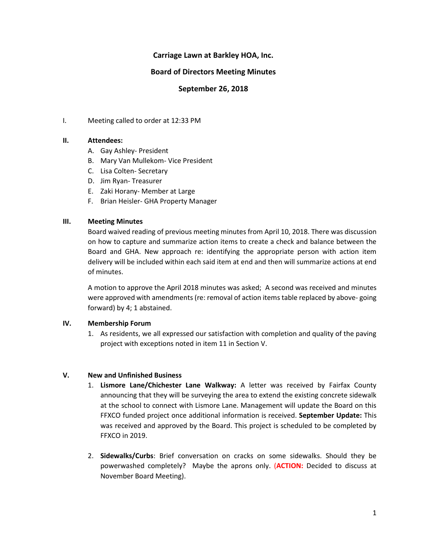# **Carriage Lawn at Barkley HOA, Inc.**

## **Board of Directors Meeting Minutes**

## **September 26, 2018**

I. Meeting called to order at 12:33 PM

#### **II. Attendees:**

- A. Gay Ashley- President
- B. Mary Van Mullekom- Vice President
- C. Lisa Colten- Secretary
- D. Jim Ryan- Treasurer
- E. Zaki Horany- Member at Large
- F. Brian Heisler- GHA Property Manager

#### **III. Meeting Minutes**

Board waived reading of previous meeting minutes from April 10, 2018. There was discussion on how to capture and summarize action items to create a check and balance between the Board and GHA. New approach re: identifying the appropriate person with action item delivery will be included within each said item at end and then will summarize actions at end of minutes.

A motion to approve the April 2018 minutes was asked; A second was received and minutes were approved with amendments (re: removal of action items table replaced by above- going forward) by 4; 1 abstained.

### **IV. Membership Forum**

1. As residents, we all expressed our satisfaction with completion and quality of the paving project with exceptions noted in item 11 in Section V.

### **V. New and Unfinished Business**

- 1. **Lismore Lane/Chichester Lane Walkway:** A letter was received by Fairfax County announcing that they will be surveying the area to extend the existing concrete sidewalk at the school to connect with Lismore Lane. Management will update the Board on this FFXCO funded project once additional information is received. **September Update:** This was received and approved by the Board. This project is scheduled to be completed by FFXCO in 2019.
- 2. **Sidewalks/Curbs**: Brief conversation on cracks on some sidewalks. Should they be powerwashed completely? Maybe the aprons only. (**ACTION:** Decided to discuss at November Board Meeting).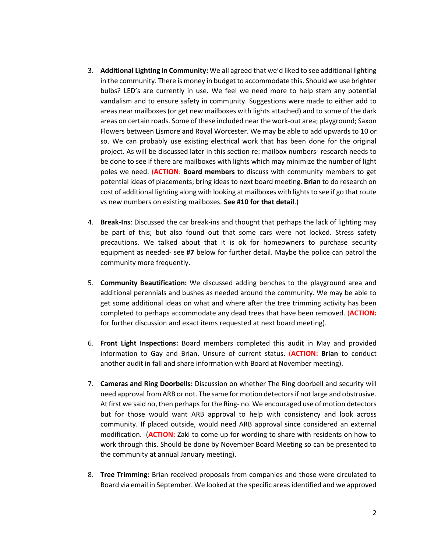- 3. **Additional Lighting in Community:** We all agreed that we'd liked to see additional lighting in the community. There is money in budget to accommodate this. Should we use brighter bulbs? LED's are currently in use. We feel we need more to help stem any potential vandalism and to ensure safety in community. Suggestions were made to either add to areas near mailboxes (or get new mailboxes with lights attached) and to some of the dark areas on certain roads. Some of these included near the work-out area; playground; Saxon Flowers between Lismore and Royal Worcester. We may be able to add upwards to 10 or so. We can probably use existing electrical work that has been done for the original project. As will be discussed later in this section re: mailbox numbers- research needs to be done to see if there are mailboxes with lights which may minimize the number of light poles we need. (**ACTION**: **Board members** to discuss with community members to get potential ideas of placements; bring ideas to next board meeting. **Brian** to do research on cost of additional lighting along with looking at mailboxes with lights to see if go that route vs new numbers on existing mailboxes. **See #10 for that detail**.)
- 4. **Break-Ins**: Discussed the car break-ins and thought that perhaps the lack of lighting may be part of this; but also found out that some cars were not locked. Stress safety precautions. We talked about that it is ok for homeowners to purchase security equipment as needed- see **#7** below for further detail. Maybe the police can patrol the community more frequently.
- 5. **Community Beautification:** We discussed adding benches to the playground area and additional perennials and bushes as needed around the community. We may be able to get some additional ideas on what and where after the tree trimming activity has been completed to perhaps accommodate any dead trees that have been removed. (**ACTION:**  for further discussion and exact items requested at next board meeting).
- 6. **Front Light Inspections:** Board members completed this audit in May and provided information to Gay and Brian. Unsure of current status. (**ACTION: Brian** to conduct another audit in fall and share information with Board at November meeting).
- 7. **Cameras and Ring Doorbells:** Discussion on whether The Ring doorbell and security will need approval from ARB or not. The same for motion detectors if not large and obstrusive. At first we said no, then perhaps for the Ring- no. We encouraged use of motion detectors but for those would want ARB approval to help with consistency and look across community. If placed outside, would need ARB approval since considered an external modification. (**ACTION:** Zaki to come up for wording to share with residents on how to work through this. Should be done by November Board Meeting so can be presented to the community at annual January meeting).
- 8. **Tree Trimming:** Brian received proposals from companies and those were circulated to Board via email in September. We looked at the specific areas identified and we approved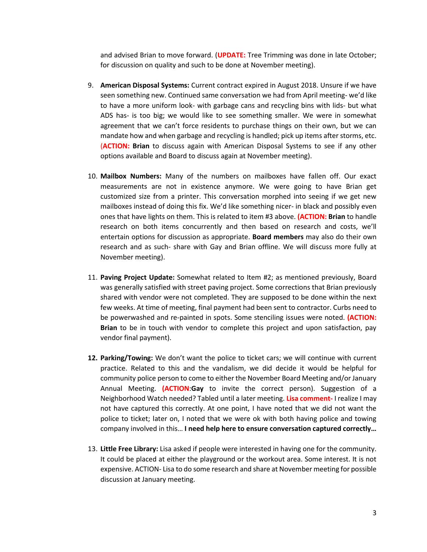and advised Brian to move forward. (**UPDATE:** Tree Trimming was done in late October; for discussion on quality and such to be done at November meeting).

- 9. **American Disposal Systems:** Current contract expired in August 2018. Unsure if we have seen something new. Continued same conversation we had from April meeting- we'd like to have a more uniform look- with garbage cans and recycling bins with lids- but what ADS has- is too big; we would like to see something smaller. We were in somewhat agreement that we can't force residents to purchase things on their own, but we can mandate how and when garbage and recycling is handled; pick up items after storms, etc. (**ACTION: Brian** to discuss again with American Disposal Systems to see if any other options available and Board to discuss again at November meeting).
- 10. **Mailbox Numbers:** Many of the numbers on mailboxes have fallen off. Our exact measurements are not in existence anymore. We were going to have Brian get customized size from a printer. This conversation morphed into seeing if we get new mailboxes instead of doing this fix. We'd like something nicer- in black and possibly even ones that have lights on them. This is related to item #3 above. **(ACTION: Brian** to handle research on both items concurrently and then based on research and costs, we'll entertain options for discussion as appropriate. **Board members** may also do their own research and as such- share with Gay and Brian offline. We will discuss more fully at November meeting).
- 11. **Paving Project Update:** Somewhat related to Item #2; as mentioned previously, Board was generally satisfied with street paving project. Some corrections that Brian previously shared with vendor were not completed. They are supposed to be done within the next few weeks. At time of meeting, final payment had been sent to contractor. Curbs need to be powerwashed and re-painted in spots. Some stenciling issues were noted. **(ACTION: Brian** to be in touch with vendor to complete this project and upon satisfaction, pay vendor final payment).
- **12. Parking/Towing:** We don't want the police to ticket cars; we will continue with current practice. Related to this and the vandalism, we did decide it would be helpful for community police person to come to either the November Board Meeting and/or January Annual Meeting. **(ACTION**:**Gay** to invite the correct person). Suggestion of a Neighborhood Watch needed? Tabled until a later meeting. **Lisa comment-** I realize I may not have captured this correctly. At one point, I have noted that we did not want the police to ticket; later on, I noted that we were ok with both having police and towing company involved in this… **I need help here to ensure conversation captured correctly…**
- 13. **Little Free Library:** Lisa asked if people were interested in having one for the community. It could be placed at either the playground or the workout area. Some interest. It is not expensive. ACTION- Lisa to do some research and share at November meeting for possible discussion at January meeting.